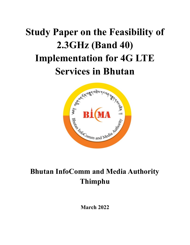# **Study Paper on the Feasibility of 2.3GHz (Band 40) Implementation for 4G LTE Services in Bhutan**



# **Bhutan InfoComm and Media Authority Thimphu**

**March 2022**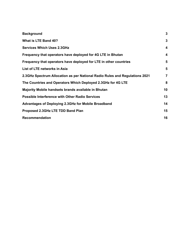| <b>Background</b>                                                           | $\mathbf{3}$ |
|-----------------------------------------------------------------------------|--------------|
| What is LTE Band 40?                                                        | $\mathbf{3}$ |
| <b>Services Which Uses 2.3GHz</b>                                           | 4            |
| Frequency that operators have deployed for 4G LTE in Bhutan                 | 4            |
| Frequency that operators have deployed for LTE in other countries           | 5            |
| List of LTE networks in Asia                                                | 5            |
| 2.3GHz Spectrum Allocation as per National Radio Rules and Regulations 2021 | 7            |
| The Countries and Operators Which Deployed 2.3 GHz for 4 GLTE               | 8            |
| Majority Mobile handsets brands available in Bhutan                         | 10           |
| <b>Possible Interference with Other Radio Services</b>                      | 13           |
| Advantages of Deploying 2.3GHz for Mobile Broadband                         | 14           |
| Proposed 2.3GHz LTE TDD Band Plan                                           | 15           |
| <b>Recommendation</b>                                                       | 16           |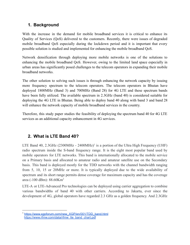# <span id="page-2-0"></span>**1. Background**

With the increase in the demand for mobile broadband services it is critical to enhance its Quality of Services (QoS) delivered to the customers. Recently, there were issues of degraded mobile broadband QoS especially during the lockdown period and it is important that every possible solution is studied and implemented for enhancing the mobile broadband QoS.

Network densification through deploying more mobile networks is one of the solutions to enhancing the mobile broadband QoS. However, owing to the limited land space especially in urban areas has significantly posed challenges to the telecom operators in expanding their mobile broadband networks.

The other solution to solving such issues is through enhancing the network capacity by issuing more frequency spectrum to the telecom operators. The telecom operators in Bhutan have deployed 1800MHz (Band 3) and 700MHz (Band 28) for 4G LTE and these spectrum bands have been fully utilized. The available spectrum in 2.3GHz (band 40) is considered suitable for deploying the 4G LTE in Bhutan. Being able to deploy band 40 along with band 3 and band 28 will enhance the network capacity of mobile broadband services in the country.

Therefore, this study paper studies the feasibility of deploying the spectrum band 40 for 4G LTE services as an additional capacity enhancement in 4G services.

# <span id="page-2-1"></span>**2. What is LTE Band 40?**

LTE Band 40, 2.3GHz  $(2300 MHz - 2400 MHz)^1$  is a portion of the Ultra High Frequency (UHF) radio spectrum inside the S-band frequency range. It is the eight most popular band used by mobile operators for LTE networks. This band is internationally allocated to the mobile service on a Primary basis and allocated to amateur radio and amateur satellite use on the Secondary basis. This band is deployed mostly for the TDD networks with the channel bandwidth ranging from 5, 10, 15 or 20MHz or more. It is typically deployed due to the wide availability of spectrum and its short range permits dense coverage for maximum capacity and has the coverage area (-100 dBm): 88.60Km<sup>2</sup>

LTE-A or LTE-Advanced Pro technologies can be deployed using carrier aggregation to combine various bandwidths of band 40 with other carriers. According to Jakarta, ever since the development of 4G, global operators have regarded 2.3 GHz as a golden frequency. And 2.3GHz

<sup>1</sup> [https://www.xgpforum.com/new\\_XGP/en/001/TDD\\_band.html](https://www.xgpforum.com/new_XGP/en/001/TDD_band.html) [https://www.rfmw.com/data/rfmw\\_lte\\_band\\_chart.pdf](https://www.rfmw.com/data/rfmw_lte_band_chart.pdf)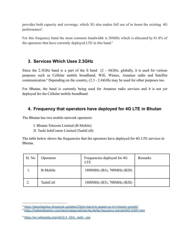provides both capacity and coverage, which 5G also makes full use of to boost the existing 4G performance<sup>2</sup>.

For this frequency band the most common bandwidth is 20MHz which is allocated by 81.8% of the operators that have currently deployed LTE in this band.<sup>3</sup>

#### <span id="page-3-0"></span>**3. Services Which Uses 2.3GHz**

Since the 2.3GHz band is a part of the S band (2 - 4)GHz, globally, it is used for various purposes such as Cellular mobile broadband, Wifi, Wimax, Amateur radio and Satellite communication.<sup>4</sup> Depending on the country, (2.3 - 2.4)GHz may be used for other purposes too.

For Bhutan, the band is currently being used for Amateur radio services and it is not yet deployed for the Cellular mobile broadband.

#### <span id="page-3-1"></span>**4. Frequency that operators have deployed for 4G LTE in Bhutan**

The Bhutan has two mobile network operators:

- I. Bhutan Telecom Limited (B-Mobile)
- II. Tashi InfoComm Limited (TashiCell)

The table below shows the frequencies that the operators have deployed for 4G LTE services in Bhutan.

| Sl. No | <b>Operators</b> | Frequencies deployed for 4G<br>LTE | Remarks |
|--------|------------------|------------------------------------|---------|
|        | <b>B-Mobile</b>  | 1800MHz (B3), 700MHz (B28)         |         |
|        | TashiCell        | 1800MHz (B3), 700MHz (B28)         |         |

<sup>2</sup> <https://jakartaglobe.id/special-updates/23ghz-band-to-speed-up-ict-industry-growth/>

<sup>3</sup> <https://halberdbastion.com/technology/cellular/4g-lte/lte-frequency-bands/b40-2300-mhz>

<sup>4</sup> [https://en.wikipedia.org/wiki/2.4\\_GHz\\_radio\\_use](https://en.wikipedia.org/wiki/2.4_GHz_radio_use)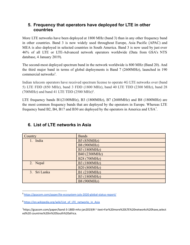#### <span id="page-4-0"></span>**5. Frequency that operators have deployed for LTE in other countries**

More LTE networks have been deployed at 1800 MHz (band 3) than in any other frequency band in other countries. Band 3 is now widely used throughout Europe, Asia Pacific (APAC) and MEA is also deployed in selected countries in South America. Band 3 is now used by just over 46% of all LTE or LTE-Advanced network operators worldwide (Data from GSA's NTS database, 4 January 2019).

The second-most deployed spectrum band in the network worldwide is 800 MHz (Band 20). And the third major band in terms of global deployments is Band 7 (2600MHz), launched in 190 commercial networks<sup>5</sup>.

Indian telecom operators have received spectrum license to operate 4G LTE networks over (band 5) LTE FDD (850 MHz), band 3 FDD (1800 MHz), band 40 LTE TDD (2300 MHz), band 28  $(700MHz)$  and band 41 LTE TDD  $(2500 MHz)^6$ .

LTE frequency bands B1(2100MHz), B3 (1800MHz), B7 (2600MHz) and B8 (1800MHz) are the most common frequency bands that are deployed by the operators in Europe. Whereas LTE frequency band B2, B4, B17 and B30 are deployed by the operators in America and USA<sup>7</sup>.

| Country      | <b>Bands</b>       |
|--------------|--------------------|
| 1. India     | B5 (850MHz)        |
|              | <b>B8 (900MHz)</b> |
|              | B3 (1800MHz)       |
|              | B40 (2300MHz)      |
|              | B28 (700MHz)       |
| 2. Nepal     | B3 (1800MHz)       |
|              | B20 (800MHz)       |
| 3. Sri Lanka | B1 (2100MHz)       |
|              | B3 (1800MHz)       |
|              | <b>B8 (900MHz)</b> |

# <span id="page-4-1"></span>**6. List of LTE networks in Asia**

<sup>5</sup> <https://gsacom.com/paper/lte-ecosystem-july-2020-global-status-report/>

<sup>&</sup>lt;sup>6</sup> [https://en.wikipedia.org/wiki/List\\_of\\_LTE\\_networks\\_in\\_Asia](https://en.wikipedia.org/wiki/List_of_LTE_networks_in_Asia)

<sup>7</sup>https://gsacom.com/paper/band-3-1800-mhz-jan2019/#:~:text=Far%20more%20LTE%20networks%20have,select ed%20 countries%20in%20South%20africa.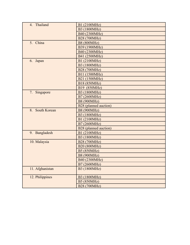| 4. Thailand                    | B1 (2100MHz)          |  |
|--------------------------------|-----------------------|--|
|                                | B3 (1800MHz)          |  |
|                                | B40 (2300MHz)         |  |
|                                | B28 (700MHz)          |  |
| 5. China                       | <b>B8 (800MHz)</b>    |  |
|                                | B39 (1900MHz)         |  |
|                                | B40 (2300MHz)         |  |
|                                | B41 (2500MHz)         |  |
| 6.<br>Japan                    | B1 (2100MHz)          |  |
|                                | B3 (1800MHz)          |  |
|                                | B28 (700MHz)          |  |
|                                | B11 (1500MHz)         |  |
|                                | B21 (1500MHz)         |  |
|                                | B18 (850MHz)          |  |
|                                | B19 (850MHz)          |  |
| 7.<br>Singapore                | B3 (1800MHz)          |  |
|                                | B7 (2600MHz)          |  |
|                                | <b>B8 (900MHz)</b>    |  |
|                                | B28 (planned auction) |  |
| South Korean<br>8 <sub>1</sub> | <b>B8 (900MHz)</b>    |  |
|                                | B3 (1800MHz)          |  |
|                                | B1 (2100MHz)          |  |
|                                | B7 (2600MHz)          |  |
|                                | B28 (planned auction) |  |
| 9. Bangladesh                  | B1 (2100MHz)          |  |
|                                | B3 (1800MHz)          |  |
| 10. Malaysia                   | B28 (700MHz)          |  |
|                                | B20 (800MHz)          |  |
|                                | <b>B5 (850MHz)</b>    |  |
|                                | <b>B8 (900MHz)</b>    |  |
|                                | B40 (2300MHz)         |  |
|                                | B7 (2600MHz)          |  |
| 11. Afghanistan                | B3 (1800MHz)          |  |
|                                |                       |  |
| 12. Philippines                | B3 (1800MHz)          |  |
|                                | <b>B5 (850MHz)</b>    |  |
|                                | B28 (700MHz)          |  |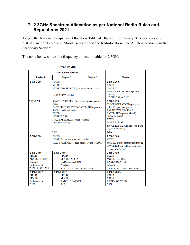#### <span id="page-6-0"></span>**7. 2.3GHz Spectrum Allocation as per National Radio Rules and Regulations 2021**

As per the National Frequency Allocation Table of Bhutan, the Primary Services allocation in 2.3GHz are for Fixed and Mobile services and the Radiolocation. The Amateur Radio is in the Secondary Services.

The table below shows the frequency allocation table for 2.3GHz

|                                                                                                                                                                                  | <b>Allocation to services</b>                                                                                                                                                                                                     |                 |                                                                                                                                                                                                                                                                                  |
|----------------------------------------------------------------------------------------------------------------------------------------------------------------------------------|-----------------------------------------------------------------------------------------------------------------------------------------------------------------------------------------------------------------------------------|-----------------|----------------------------------------------------------------------------------------------------------------------------------------------------------------------------------------------------------------------------------------------------------------------------------|
| <b>Region 1</b>                                                                                                                                                                  | <b>Region 2</b>                                                                                                                                                                                                                   | <b>Region 3</b> | <b>Bhutan</b>                                                                                                                                                                                                                                                                    |
| 2 170-2 200                                                                                                                                                                      | <b>FIXED</b><br><b>MOBILE</b><br>MOBILE-SATELLITE (space-to-Earth) 5.351A<br>5.388 5.389A 5.389F                                                                                                                                  |                 | 2 170-2 200<br><b>FIXED</b><br><b>MOBILE</b><br>MOBILE-SATELLITE (space-to-<br>Earth) 5.351A                                                                                                                                                                                     |
| 2 200-2 290                                                                                                                                                                      | SPACE OPERATION (space-to-Earth) (space-to-<br>space)<br>EARTH EXPLORATION-SATELLITE (space-to-<br>Earth) (space-to-space)<br><b>FIXED</b><br><b>MOBILE 5.391</b><br>SPACE RESEARCH (space-to-Earth)<br>(space-to-space)<br>5.392 |                 | 5.388 5.389A 5.389F<br>2 200-2 290<br>SPACE OPERATION (space-to-<br>Earth) (space-to-space)<br><b>EARTH EXPLORATION</b><br>SATELLITE (space-to-Earth)<br>(space-to-space)<br><b>FIXED</b><br><b>MOBILE 5.391</b><br>SPACE RESEARCH (space-to-Earth)<br>(space-to-space)<br>5.392 |
| 2 290-2 300                                                                                                                                                                      | <b>FIXED</b><br>MOBILE except aeronautical mobile<br>SPACE RESEARCH (deep space) (space-to-Earth)                                                                                                                                 |                 | 2 290-2 300<br><b>FIXED</b><br><b>MOBILE</b> except aeronautical mobile<br>SPACE RESEARCH (deep space)<br>(space-to-Earth)                                                                                                                                                       |
| 2 300-2 450<br><b>FIXED</b><br><b>MOBILE 5.384A</b><br>Amateur<br>Radiolocation<br>5.150 5.282 5.395<br>2 450-2 483.5<br><b>FIXED</b><br><b>MOBILE</b><br>Radiolocation<br>5.150 | 2 300-2 450<br><b>FIXED</b><br>MOBILE 5.384A<br><b>RADIOLOCATION</b><br>Amateur<br>5.150 5.282 5.393 5.394 5.396<br>2 450-2 483.5<br><b>FIXED</b><br><b>MOBILE</b><br><b>RADIOLOCATION</b><br>5.150                               |                 | 2 300-2 450<br><b>FIXED</b><br><b>MOBILE 5.384A</b><br><b>RADIOLOCATION</b><br>Amateur<br>5.150 5.282 5.393 5.394 5.396<br>2 450-2 483.5<br><b>FIXED</b><br><b>MOBILE</b><br><b>RADIOLOCATION</b><br>5.150                                                                       |

2 170-2 520 MHz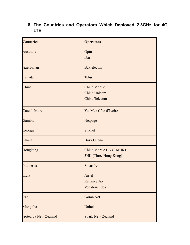# <span id="page-7-0"></span>**8. The Countries and Operators Which Deployed 2.3GHz for 4G LTE**

| <b>Countries</b>            | <b>Operators</b>                                |
|-----------------------------|-------------------------------------------------|
| Australia                   | Optus<br>nbn                                    |
| Azerbaijan                  | <b>Baktelecom</b>                               |
| Canada                      | <b>Telus</b>                                    |
| China                       | China Mobile<br>China Unicom<br>China Telecom   |
| Côte d'Ivoire               | YooMee Côte d'Ivoire                            |
| Gambia                      | Netpage                                         |
| Georgia                     | Silknet                                         |
| Ghana                       | <b>Busy Ghana</b>                               |
| Hongkong                    | China Mobile HK (CMHK)<br>3HK (Three Hong Kong) |
| Indonesia                   | <b>Smartfren</b>                                |
| India                       | Airtel<br><b>Reliance Jio</b><br>Vodafone Idea  |
| Iraq                        | <b>Goran Net</b>                                |
| Mongolia                    | Unitel                                          |
| <b>Aotearoa New Zealand</b> | <b>Spark New Zealand</b>                        |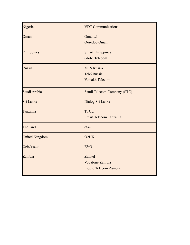| Nigeria               | <b>VDT Communications</b>                                 |  |
|-----------------------|-----------------------------------------------------------|--|
| Oman                  | Omantel<br>Ooredoo Oman                                   |  |
| Philippines           | <b>Smart Philippines</b><br><b>Globe Telecom</b>          |  |
| Russia                | <b>MTS Russia</b><br>Tele2Russia<br>Vainakh Telecom       |  |
| Saudi Arabia          | Saudi Telecom Company (STC)                               |  |
| Sri Lanka             | Dialog Sri Lanka                                          |  |
| Tanzania              | <b>TTCL</b><br><b>Smart Telecom Tanzania</b>              |  |
| Thailand              | dtac                                                      |  |
| <b>United Kingdom</b> | O <sub>2</sub> UK                                         |  |
| <b>Uzbekistan</b>     | <b>EVO</b>                                                |  |
| Zambia                | Zamtel<br><b>Vodafone Zambia</b><br>Liquid Telecom Zambia |  |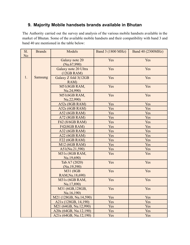# <span id="page-9-0"></span>**9. Majority Mobile handsets brands available in Bhutan**

The Authority carried out the survey and analysis of the various mobile handsets available in the market of Bhutan. Some of the available mobile handsets and their compatibility with band 3 and band 40 are mentioned in the table below:

| S1.<br>No | <b>Brands</b>  | Models                             | Band 3 (1800 MHz) | Band 40 (2300MHz) |
|-----------|----------------|------------------------------------|-------------------|-------------------|
|           |                | Galaxy note 20<br>(Nu.67,990)      | Yes               | Yes               |
|           |                | Galaxy note 20 Ultra<br>(12GB RAM) | Yes               | Yes               |
| 1.        | <b>Samsung</b> | Galaxy Z fold 3(12GB<br>RAM)       | Yes               | Yes               |
|           |                | M51(8GB RAM,<br>Nu.24,990)         | Yes               | Yes               |
|           |                | M51(6GB RAM,<br>Nu.22,990)         | Yes               | Yes               |
|           |                | A52s (8GB RAM)                     | Yes               | Yes               |
|           |                | A52s (6GB RAM)                     | Yes               | Yes               |
|           |                | A52 (6GB RAM)                      | Yes               | Yes               |
|           |                | $A72$ (8GB RAM)                    | Yes               | Yes               |
|           |                | F62 (8/6GB RAM)                    | Yes               | Yes               |
|           |                | F42(8GB RAM)                       | Yes               | Yes               |
|           |                | A32 (6GB RAM)                      | Yes               | Yes               |
|           |                | A22 (6GB RAM)                      | Yes               | Yes               |
|           |                | F22 (6GB RAM)                      | Yes               | Yes               |
|           |                | M12 (6GB RAM)                      | Yes               | Yes               |
|           |                | A51(Nu.21,590)                     | Yes               | Yes               |
|           |                | M31s (8GB RAM,<br>Nu.19,690)       | Yes               | Yes               |
|           |                | Tab A7 (2020)<br>(Nu.19,390)       | Yes               | Yes               |
|           |                | M31 (8GB<br>RAM, Nu.18,690)        | Yes               | Yes               |
|           |                | M31s (6GB RAM,<br>Nu.17,890)       | Yes               | Yes               |
|           |                | M31 (6GB, 128GB,<br>Nu.16,190)     | Yes               | Yes               |
|           |                | M21 (128GB, Nu.14,590)             | Yes               | Yes               |
|           |                | A <sub>2</sub> 1s (128GB, 14,190)  | Yes               | Yes               |
|           |                | M21 (64GB, Nu.12,990)              | Yes               | Yes               |
|           |                | A20s (64GB, Nu.12,190)             | Yes               | Yes               |
|           |                | A21s (64GB, Nu.12,190)             | Yes               | Yes               |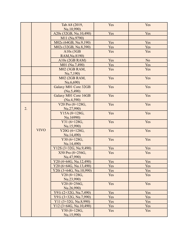|    |             | Tab A8 (2019,                                                 | Yes        | Yes            |
|----|-------------|---------------------------------------------------------------|------------|----------------|
|    |             | Nu.10,990)                                                    |            |                |
|    |             | A20s (32GB, Nu.10,490)                                        | Yes        | Yes            |
|    |             | M11 (Nu.9790)                                                 |            |                |
|    |             | M02s (64GB, Nu.9,190)                                         | Yes        | Yes            |
|    |             | M02s (32GB, Nu.8,390)                                         | Yes        | Yes            |
|    |             | A $10s$ (3GB                                                  | Yes        | Yes            |
|    |             | RAM, Nu.8190)                                                 |            |                |
|    |             | A10s (2GB RAM)                                                | Yes        | N <sub>o</sub> |
|    |             | M01 (Nu.7,490)                                                | Yes        | Yes            |
|    |             | M02 (3GB RAM,                                                 | Yes        | Yes            |
|    |             | Nu.7,190)                                                     |            |                |
|    |             | M02 (2GB RAM,                                                 | Yes        | Yes            |
|    |             | Nu.6,690)                                                     |            |                |
|    |             | Galaxy M01 Core 32GB                                          | Yes        | Yes            |
|    |             | (Nu.5,490)                                                    |            |                |
|    |             | Galaxy M01 Core 16GB                                          | Yes        | Yes            |
|    |             | (Nu.4,590)                                                    |            |                |
|    |             | V20 Pro (8+128G,                                              | Yes        | Yes            |
| 2. |             | Nu.27,990)                                                    | Yes        | Yes            |
|    |             | $Y15A(8+128G,$<br>Nu.16990)                                   |            |                |
|    |             | Y31 (6+128G,                                                  | Yes        | Yes            |
|    |             | Nu.15,990)                                                    |            |                |
|    | <b>VIVO</b> | Y20G (6+128G,                                                 | Yes        | Yes            |
|    |             | Nu.14,490)                                                    |            |                |
|    |             | Y30 (6+128G,                                                  | Yes        | Yes            |
|    |             | Nu.14,490)                                                    |            |                |
|    |             | Y12S (3+32G, Nu.9,490)                                        | Yes        | Yes            |
|    |             | X50 Pro (8+256G,                                              | Yes        | Yes            |
|    |             | Nu.47,990)                                                    |            |                |
|    |             | Y20 (4+64G, Nu.12,490)                                        | Yes        | Yes            |
|    |             | $Y20 (6+64G, Nu.13,490)$                                      | Yes        | Yes            |
|    |             | $Y20i (3+64G, Nu.10,990)$                                     | Yes        | Yes            |
|    |             | $V20(8+128G,$                                                 | Yes        | Yes            |
|    |             | Nu.23,990)                                                    |            |                |
|    |             | $V20(8+256G,$                                                 | Yes        | Yes            |
|    |             | Nu.26,990)                                                    |            |                |
|    |             | Y91i (2+32G, Nu.7,490)                                        | Yes<br>Yes | Yes<br>Yes     |
|    |             | Y91i (3+32G, Nu.7,990)<br>Y <sub>11</sub> $(3+32G, Nu.8,990)$ | Yes        | Yes            |
|    |             | $Y12(3+64G, Nu.10,490)$                                       | Yes        | Yes            |
|    |             | Y50 (8+128G,                                                  | Yes        | Yes            |
|    |             | Nu.15,990)                                                    |            |                |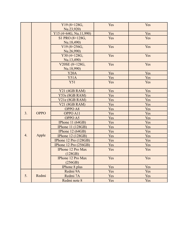|                  |             | Y19 (8+128G,             | Yes | Yes |
|------------------|-------------|--------------------------|-----|-----|
|                  |             | Nu.23,920)               |     |     |
|                  |             | Y15 (4+64G, Nu.11,990)   | Yes | Yes |
|                  |             | S1 PRO (8+128G,          | Yes | Yes |
|                  |             | Nu.18,490)               |     |     |
|                  |             | $V19(8+256G,$            | Yes | Yes |
|                  |             | Nu.26,990)               |     |     |
|                  |             | Y30 (4+128G,             | Yes | Yes |
|                  |             | Nu.13,490)               |     |     |
|                  |             | V20SE (8+128G,           | Yes | Yes |
|                  |             | Nu.18,990)               |     |     |
|                  |             | Y20A                     | Yes | Yes |
|                  |             | <b>Y51A</b>              | Yes | Yes |
|                  |             | <b>Y51</b>               | Yes | Yes |
|                  |             | <b>Y21 (4GB RAM)</b>     | Yes | Yes |
|                  |             | <b>Y53s (8GB RAM)</b>    | Yes | Yes |
|                  |             | V21e (8GB RAM)           | Yes | Yes |
|                  |             | <b>V21 (8GB RAM)</b>     | Yes | Yes |
|                  |             | OPPO A8                  | Yes | Yes |
| 3.               | <b>OPPO</b> | OPPO A11                 | Yes | Yes |
|                  |             | OPPO A5                  | Yes | Yes |
|                  |             | IPhone 11 (64GB)         | Yes | Yes |
|                  |             | <b>IPhone 11 (128GB)</b> | Yes | Yes |
|                  |             | IPhone $12(64GB)$        | Yes | Yes |
| $\overline{4}$ . | Apple       | <b>IPhone 12 (128GB)</b> | Yes | Yes |
|                  |             | IPhone 12 Pro (128GB)    | Yes | Yes |
|                  |             | IPhone 12 Pro (256GB)    | Yes | Yes |
|                  |             | IPhone 12 Pro Max        | Yes | Yes |
|                  |             | (128GB)                  |     |     |
|                  |             | IPhone 12 Pro Max        | Yes | Yes |
|                  |             | (256GB)                  |     |     |
|                  |             | <b>IPhone 8 plus</b>     | Yes | Yes |
|                  |             | Redmi 9A                 | Yes | Yes |
| 5.               | Redmi       | Redmi 7A                 | Yes | Yes |
|                  |             | Redmi note 8             | Yes | Yes |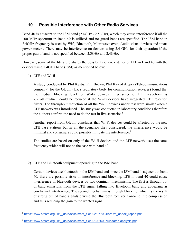# <span id="page-12-0"></span>**10. Possible Interference with Other Radio Services**

Band 40 is adjacent to the ISM band (2.4GHz - 2.5GHz), which may cause interference if all the 100 MHz spectrum in Band 40 is utilized and no guard bands are specified. The ISM band in 2.4GHz frequency is used by Wifi, Bluetooth, Microwave oven, Audio-visual devices and smart power meters. There may be interference on devices using 2.4 GHz for their operation if the proper guard band is not specified between 2.3GHz and 2.4GHz.

However, some of the literature shares the possibility of coexistence of LTE in Band 40 with the devices using 2.4GHz band (ISM) as mentioned below:

1) LTE and Wi-fi

A study conducted by Phil Kesby, Phil Brown, Phil Ray of Arqiva (Telecommunications company) for the Ofcom (UK's regulatory body for communication services) found that the median blocking level for Wi-Fi devices in presence of LTE waveform is -32.8dBmwhich could be reduced if the Wi-Fi devices have integrated LTE rejection filters. The throughput reduction of all the Wi-Fi devices under test were similar when a LTE network was introduced. The study was conducted in laboratory conditions therefore the authors confirm the need to do the test in live scenarios.<sup>8</sup>

Another report from Ofcom concludes that Wi-Fi devices could be affected by the new LTE base stations but in all the scenarios they considered, the interference would be minimal and consumers could possibly mitigate the interference.<sup>9</sup>

The studies are based on only if the Wi-fi devices and the LTE network uses the same frequency which will not be the case with band 40.

#### 2) LTE and Bluetooth equipment operating in the ISM band

Certain devices use bluetooth in the ISM band and since the ISM band is adjacent to band 40, there are possible risks of interference and blocking. LTE in band 40 could cause interference in bluetooth devices by two dominant mechanisms. The first is through out of band emissions from the LTE signal falling into Bluetooth band and appearing as co-channel interference. The second mechanism is through blocking, which is the result of strong out of band signals driving the Bluetooth receiver front-end into compression and thus reducing the gain to the wanted signal.

<sup>8</sup> [https://www.ofcom.org.uk/\\_\\_data/assets/pdf\\_file/0021/77034/arqiva\\_annex\\_report.pdf](https://www.ofcom.org.uk/__data/assets/pdf_file/0021/77034/arqiva_annex_report.pdf)

<sup>&</sup>lt;sup>9</sup> https://www.ofcom.org.uk/ data/assets/pdf\_file/0019/36037/updated-analysis.pdf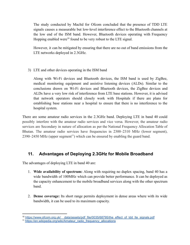The study conducted by Macltd for Ofcom concluded that the presence of TDD LTE signals causes a measurable but low-level interference effect to the Bluetooth channels at the low end of the ISM band. However, Bluetooth devices operating with Frequency Hopping enabled were<sup>10</sup> found to be very robust to the LTE signal.

However, it can be mitigated by ensuring that there are no out of band emissions from the LTE networks deployed in 2.3GHz.

3) LTE and other devices operating in the ISM band

Along with Wi-Fi devices and Bluetooth devices, the ISM band is used by ZigBee, medical monitoring equipment and assistive listening devices (ALDs). Similar to the conclusions drawn on Wi-Fi devices and Bluetooth devices, the ZigBee devices and ALDs have a very low risk of interference from LTE base stations. However, it is advised that network operators should closely work with Hospitals if there are plans for establishing base stations near a hospital to ensure that there is no interference to the hospital system.

There are some amateur radio services in the 2.3GHz band. Deploying LTE in band 40 could possibly interfere with the amateur radio services and vice versa. However, the amateur radio services are Secondary in nature of allocation as per the National Frequency Allocation Table of Bhutan. The amateur radio services have frequencies in 2300–2310 MHz (lower segment),  $2390-2450$  MHz (upper segment<sup>11</sup>) which can be ensured by enabling the guard band.

# <span id="page-13-0"></span>**11. Advantages of Deploying 2.3GHz for Mobile Broadband**

The advantages of deploying LTE in band 40 are:

- 1. **Wide availability of spectrum:** Along with requiring no duplex spacing, band 40 has a wide bandwidth of 100MHz which can provide better performance. It can be deployed as the capacity enhancement to the mobile broadband services along with the other spectrum band.
- 2. **Dense coverage:** Its short range permits deployment in dense areas where with its wide bandwidth, it can be used to its maximum capacity.

<sup>&</sup>lt;sup>10</sup> https://www.ofcom.org.uk/ data/assets/pdf\_file/0035/68795/the\_effect\_of\_tdd\_lte\_signals.pdf

<sup>&</sup>lt;sup>11</sup> [https://en.wikipedia.org/wiki/Amateur\\_radio\\_frequency\\_allocations](https://en.wikipedia.org/wiki/Amateur_radio_frequency_allocations)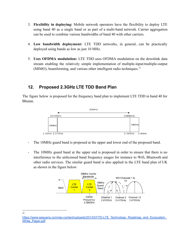- 3. **Flexibility in deploying:** Mobile network operators have the flexibility to deploy LTE using band 40 as a single band or as part of a multi-band network. Carrier aggregation can be used to combine various bandwidths of band 40 with other carriers.
- 4. **Low bandwidth deployment:** LTE TDD networks, in general, can be practically deployed using bands as low as just 10 MHz.
- 5. **Uses OFDMA modulation:** LTE TDD uses OFDMA modulation on the downlink data stream enabling the relatively simple implementation of multiple-input/multiple-output (MIMO), beamforming, and various other intelligent radio techniques.<sup>12</sup>

# <span id="page-14-0"></span>**12. Proposed 2.3GHz LTE TDD Band Plan**

The figure below is proposed for the frequency band plan to implement LTE TDD in band 40 for Bhutan.



- The 10MHz guard band is proposed at the upper and lower end of the proposed band.
- The 10MHz guard band at the upper end is proposed in order to ensure that there is no interference to the unlicensed band frequency usages for instance to Wifi, Bluetooth and other radio services. The similar guard band is also applied in the LTE band plan of UK as shown in the figure below:



12

https://www.sequans.com/wp-content/uploads/2013/07/TD-LTE\_Technology\_Roadmap\_and\_Ecosystem [White\\_Paper.pdf](https://www.sequans.com/wp-content/uploads/2013/07/TD-LTE_Technology_Roadmap_and_Ecosystem_White_Paper.pdf)